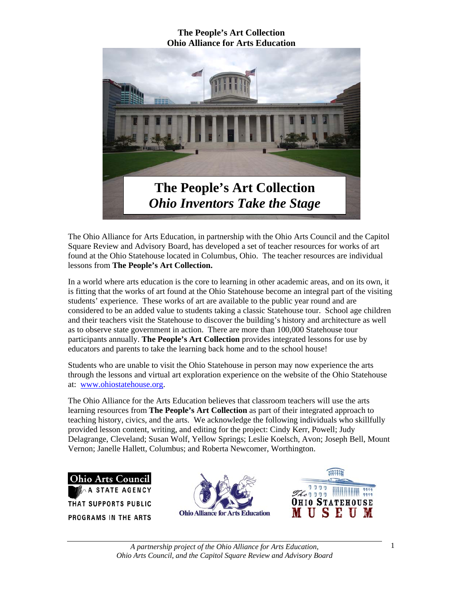

The Ohio Alliance for Arts Education, in partnership with the Ohio Arts Council and the Capitol Square Review and Advisory Board, has developed a set of teacher resources for works of art found at the Ohio Statehouse located in Columbus, Ohio. The teacher resources are individual lessons from **The People's Art Collection.** 

In a world where arts education is the core to learning in other academic areas, and on its own, it is fitting that the works of art found at the Ohio Statehouse become an integral part of the visiting students' experience. These works of art are available to the public year round and are considered to be an added value to students taking a classic Statehouse tour. School age children and their teachers visit the Statehouse to discover the building's history and architecture as well as to observe state government in action. There are more than 100,000 Statehouse tour participants annually. **The People's Art Collection** provides integrated lessons for use by educators and parents to take the learning back home and to the school house!

Students who are unable to visit the Ohio Statehouse in person may now experience the arts through the lessons and virtual art exploration experience on the website of the Ohio Statehouse at: www.ohiostatehouse.org.

The Ohio Alliance for the Arts Education believes that classroom teachers will use the arts learning resources from **The People's Art Collection** as part of their integrated approach to teaching history, civics, and the arts. We acknowledge the following individuals who skillfully provided lesson content, writing, and editing for the project: Cindy Kerr, Powell; Judy Delagrange, Cleveland; Susan Wolf, Yellow Springs; Leslie Koelsch, Avon; Joseph Bell, Mount Vernon; Janelle Hallett, Columbus; and Roberta Newcomer, Worthington.

**Ohio Arts Council STATE AGENCY** THAT SUPPORTS PUBLIC **PROGRAMS IN THE ARTS** 



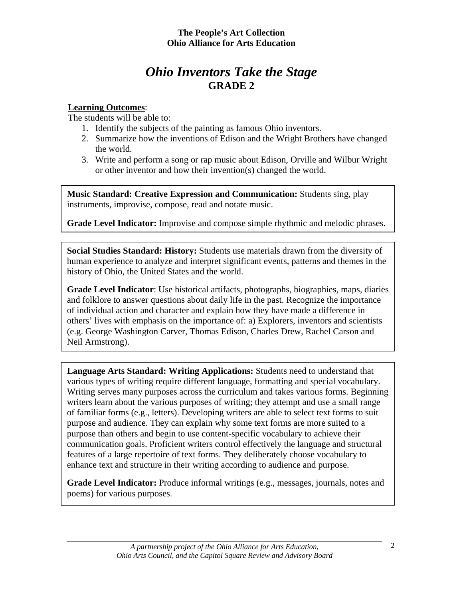# *Ohio Inventors Take the Stage* **GRADE 2**

# **Learning Outcomes**:

The students will be able to:

- 1. Identify the subjects of the painting as famous Ohio inventors.
- 2. Summarize how the inventions of Edison and the Wright Brothers have changed the world.
- 3. Write and perform a song or rap music about Edison, Orville and Wilbur Wright or other inventor and how their invention(s) changed the world.

**Music Standard: Creative Expression and Communication:** Students sing, play instruments, improvise, compose, read and notate music.

**Grade Level Indicator:** Improvise and compose simple rhythmic and melodic phrases.

**Social Studies Standard: History:** Students use materials drawn from the diversity of human experience to analyze and interpret significant events, patterns and themes in the history of Ohio, the United States and the world.

**Grade Level Indicator**: Use historical artifacts, photographs, biographies, maps, diaries and folklore to answer questions about daily life in the past. Recognize the importance of individual action and character and explain how they have made a difference in others' lives with emphasis on the importance of: a) Explorers, inventors and scientists (e.g. George Washington Carver, Thomas Edison, Charles Drew, Rachel Carson and Neil Armstrong).

**Language Arts Standard: Writing Applications:** Students need to understand that various types of writing require different language, formatting and special vocabulary. Writing serves many purposes across the curriculum and takes various forms. Beginning writers learn about the various purposes of writing; they attempt and use a small range of familiar forms (e.g., letters). Developing writers are able to select text forms to suit purpose and audience. They can explain why some text forms are more suited to a purpose than others and begin to use content-specific vocabulary to achieve their communication goals. Proficient writers control effectively the language and structural features of a large repertoire of text forms. They deliberately choose vocabulary to enhance text and structure in their writing according to audience and purpose.

**Grade Level Indicator:** Produce informal writings (e.g., messages, journals, notes and poems) for various purposes.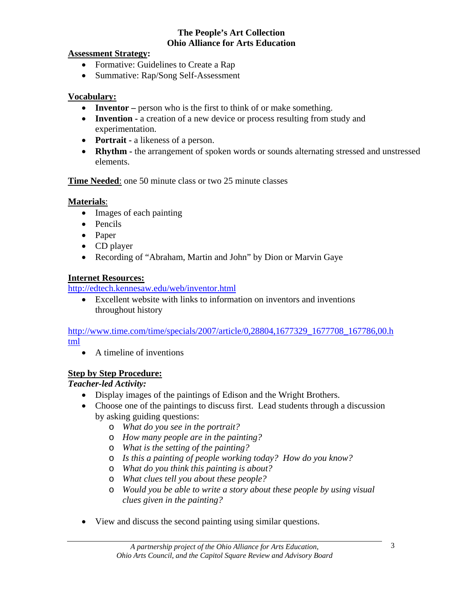## **Assessment Strategy:**

- Formative: Guidelines to Create a Rap
- Summative: Rap/Song Self-Assessment

# **Vocabulary:**

- **Inventor** person who is the first to think of or make something.
- **Invention** a creation of a new device or process resulting from study and experimentation.
- **Portrait -** a likeness of a person.
- **Rhythm** the arrangement of spoken words or sounds alternating stressed and unstressed elements.

# **Time Needed:** one 50 minute class or two 25 minute classes

# **Materials**:

- Images of each painting
- Pencils
- Paper
- CD player
- Recording of "Abraham, Martin and John" by Dion or Marvin Gaye

# **Internet Resources:**

http://edtech.kennesaw.edu/web/inventor.html

• Excellent website with links to information on inventors and inventions throughout history

http://www.time.com/time/specials/2007/article/0,28804,1677329\_1677708\_167786,00.h tml

• A timeline of inventions

# **Step by Step Procedure:**

# *Teacher-led Activity:*

- Display images of the paintings of Edison and the Wright Brothers.
- Choose one of the paintings to discuss first. Lead students through a discussion by asking guiding questions:
	- o *What do you see in the portrait?*
	- o *How many people are in the painting?*
	- o *What is the setting of the painting?*
	- o *Is this a painting of people working today? How do you know?*
	- o *What do you think this painting is about?*
	- o *What clues tell you about these people?*
	- o *Would you be able to write a story about these people by using visual clues given in the painting?*
- View and discuss the second painting using similar questions.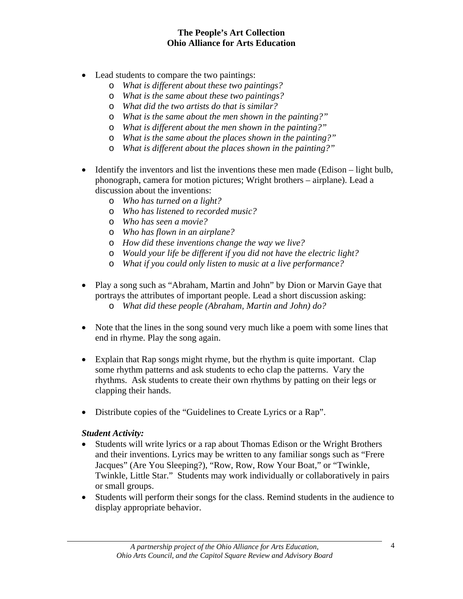- Lead students to compare the two paintings:
	- o *What is different about these two paintings?*
	- o *What is the same about these two paintings?*
	- o *What did the two artists do that is similar?*
	- o *What is the same about the men shown in the painting?"*
	- o *What is different about the men shown in the painting?"*
	- o *What is the same about the places shown in the painting?"*
	- o *What is different about the places shown in the painting?"*
- Identify the inventors and list the inventions these men made (Edison light bulb, phonograph, camera for motion pictures; Wright brothers – airplane). Lead a discussion about the inventions:
	- o *Who has turned on a light?*
	- o *Who has listened to recorded music?*
	- o *Who has seen a movie?*
	- o *Who has flown in an airplane?*
	- o *How did these inventions change the way we live?*
	- o *Would your life be different if you did not have the electric light?*
	- o *What if you could only listen to music at a live performance?*
- Play a song such as "Abraham, Martin and John" by Dion or Marvin Gaye that portrays the attributes of important people. Lead a short discussion asking: o *What did these people (Abraham, Martin and John) do?*
- Note that the lines in the song sound very much like a poem with some lines that end in rhyme. Play the song again.
- Explain that Rap songs might rhyme, but the rhythm is quite important. Clap some rhythm patterns and ask students to echo clap the patterns. Vary the rhythms. Ask students to create their own rhythms by patting on their legs or clapping their hands.
- Distribute copies of the "Guidelines to Create Lyrics or a Rap".

## *Student Activity:*

- Students will write lyrics or a rap about Thomas Edison or the Wright Brothers and their inventions. Lyrics may be written to any familiar songs such as "Frere Jacques" (Are You Sleeping?), "Row, Row, Row Your Boat," or "Twinkle, Twinkle, Little Star." Students may work individually or collaboratively in pairs or small groups.
- Students will perform their songs for the class. Remind students in the audience to display appropriate behavior.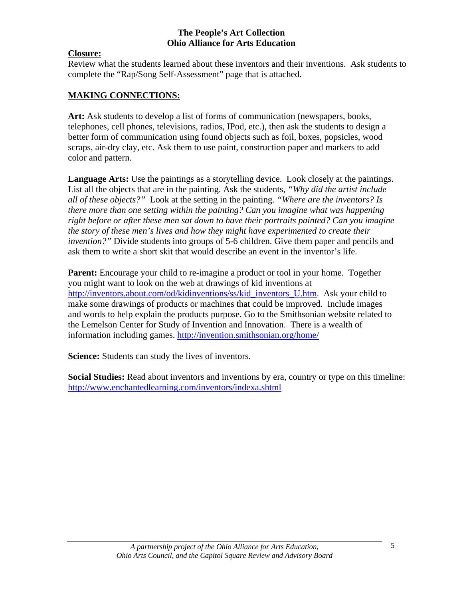# **Closure:**

Review what the students learned about these inventors and their inventions. Ask students to complete the "Rap/Song Self-Assessment" page that is attached.

# **MAKING CONNECTIONS:**

**Art:** Ask students to develop a list of forms of communication (newspapers, books, telephones, cell phones, televisions, radios, IPod, etc.), then ask the students to design a better form of communication using found objects such as foil, boxes, popsicles, wood scraps, air-dry clay, etc. Ask them to use paint, construction paper and markers to add color and pattern.

**Language Arts:** Use the paintings as a storytelling device. Look closely at the paintings. List all the objects that are in the painting. Ask the students, *"Why did the artist include all of these objects?"* Look at the setting in the painting*. "Where are the inventors? Is there more than one setting within the painting? Can you imagine what was happening right before or after these men sat down to have their portraits painted? Can you imagine the story of these men's lives and how they might have experimented to create their invention?"* Divide students into groups of 5-6 children. Give them paper and pencils and ask them to write a short skit that would describe an event in the inventor's life.

**Parent:** Encourage your child to re-imagine a product or tool in your home. Together you might want to look on the web at drawings of kid inventions at http://inventors.about.com/od/kidinventions/ss/kid\_inventors\_U.htm. Ask your child to make some drawings of products or machines that could be improved. Include images and words to help explain the products purpose. Go to the Smithsonian website related to the Lemelson Center for Study of Invention and Innovation. There is a wealth of information including games. http://invention.smithsonian.org/home/

**Science:** Students can study the lives of inventors.

**Social Studies:** Read about inventors and inventions by era, country or type on this timeline: http://www.enchantedlearning.com/inventors/indexa.shtml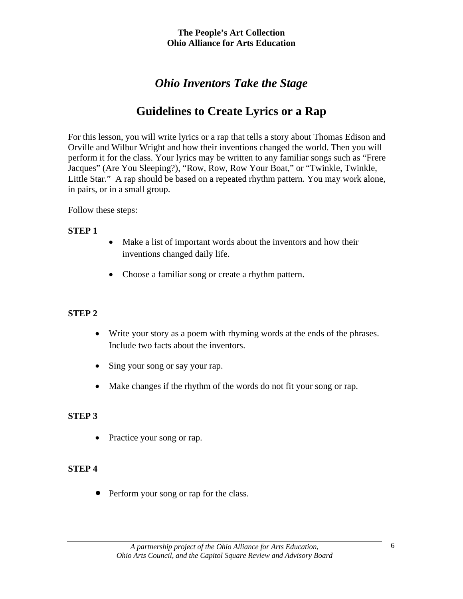# *Ohio Inventors Take the Stage*

# **Guidelines to Create Lyrics or a Rap**

For this lesson, you will write lyrics or a rap that tells a story about Thomas Edison and Orville and Wilbur Wright and how their inventions changed the world. Then you will perform it for the class. Your lyrics may be written to any familiar songs such as "Frere Jacques" (Are You Sleeping?), "Row, Row, Row Your Boat," or "Twinkle, Twinkle, Little Star." A rap should be based on a repeated rhythm pattern. You may work alone, in pairs, or in a small group.

#### Follow these steps:

#### **STEP 1**

- Make a list of important words about the inventors and how their inventions changed daily life.
- Choose a familiar song or create a rhythm pattern.

## **STEP 2**

- Write your story as a poem with rhyming words at the ends of the phrases. Include two facts about the inventors.
- Sing your song or say your rap.
- Make changes if the rhythm of the words do not fit your song or rap.

## **STEP 3**

• Practice your song or rap.

## **STEP 4**

• Perform your song or rap for the class.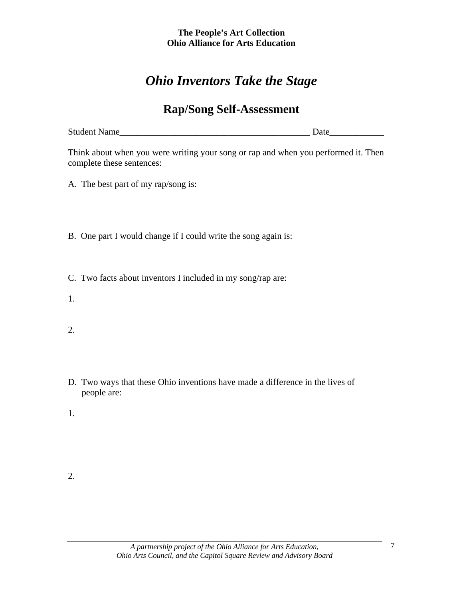# *Ohio Inventors Take the Stage*

# **Rap/Song Self-Assessment**

| <b>Student Name</b> |  |
|---------------------|--|
|---------------------|--|

Think about when you were writing your song or rap and when you performed it. Then complete these sentences:

A. The best part of my rap/song is:

- B. One part I would change if I could write the song again is:
- C. Two facts about inventors I included in my song/rap are:
- 1.
- 2.
- D. Two ways that these Ohio inventions have made a difference in the lives of people are:
- 1.